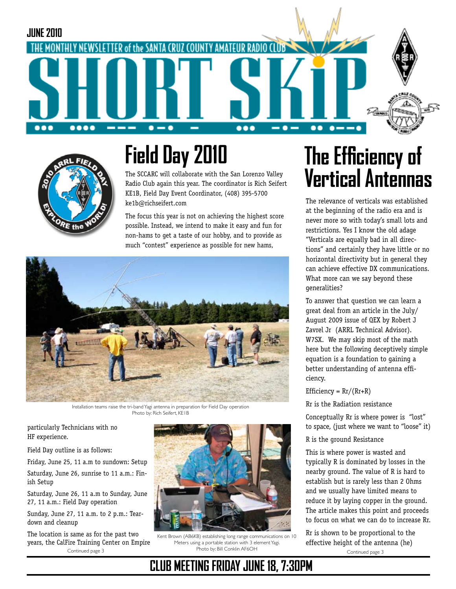



# **Field Day 2010**

The SCCARC will collaborate with the San Lorenzo Valley Radio Club again this year. The coordinator is Rich Seifert KE1B, Field Day Event Coordinator, (408) 395-5700 ke1b@richseifert.com

The focus this year is not on achieving the highest score possible. Instead, we intend to make it easy and fun for non-hams to get a taste of our hobby, and to provide as much "contest" experience as possible for new hams,



Installation teams raise the tri-band Yagi antenna in preparation for Field Day operation Photo by: Rich Seifert, KE1B

particularly Technicians with no HF experience.

Field Day outline is as follows:

Friday, June 25, 11 a.m to sundown: Setup

Saturday, June 26, sunrise to 11 a.m.: Finish Setup

Saturday, June 26, 11 a.m to Sunday, June 27, 11 a.m.: Field Day operation

Sunday, June 27, 11 a.m. to 2 p.m.: Teardown and cleanup

The location is same as for the past two years, the CalFire Training Center on Empire Photo by: Bill Conklin AF6OH Continued page 3



Kent Brown (AB6KB) establishing long range communications on 10 Meters using a portable station with 3 element Yagi.

**CLUB MEETING FRIDAY JUNE 18, 7:30PM**

# **The Efficiency of Vertical Antennas**

The relevance of verticals was established at the beginning of the radio era and is never more so with today's small lots and restrictions. Yes I know the old adage "Verticals are equally bad in all directions" and certainly they have little or no horizontal directivity but in general they can achieve effective DX communications. What more can we say beyond these generalities?

To answer that question we can learn a great deal from an article in the July/ August 2009 issue of QEX by Robert J Zavrel Jr (ARRL Technical Advisor). W7SX. We may skip most of the math here but the following deceptively simple equation is a foundation to gaining a better understanding of antenna efficiency.

Efficiency =  $Rr/(Rr+R)$ 

Rr is the Radiation resistance

Conceptually Rr is where power is "lost" to space, (just where we want to "loose" it)

R is the ground Resistance

This is where power is wasted and typically R is dominated by losses in the nearby ground. The value of R is hard to establish but is rarely less than 2 Ohms and we usually have limited means to reduce it by laying copper in the ground. The article makes this point and proceeds to focus on what we can do to increase Rr.

Continued page 3 Rr is shown to be proportional to the effective height of the antenna (he)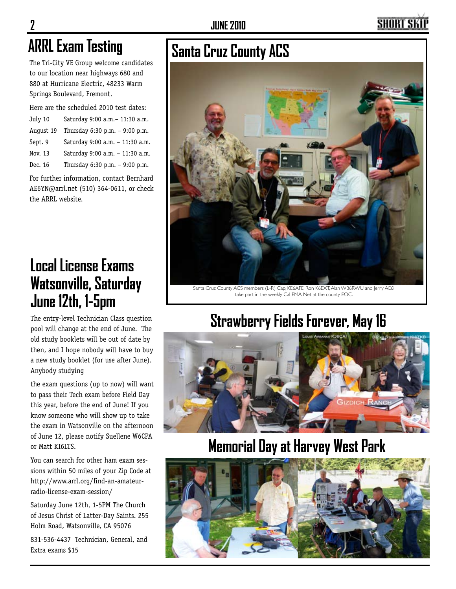## SHORT SI

The Tri-City VE Group welcome candidates to our location near highways 680 and 880 at Hurricane Electric, 48233 Warm Springs Boulevard, Fremont.

Here are the scheduled 2010 test dates:

| July 10   | Saturday 9:00 a.m. - 11:30 a.m. |
|-----------|---------------------------------|
| August 19 | Thursday 6:30 p.m. - 9:00 p.m.  |
| Sept. 9   | Saturday 9:00 a.m. - 11:30 a.m. |
| Nov. 13   | Saturday 9:00 a.m. - 11:30 a.m. |
| Dec. 16   | Thursday 6:30 p.m. - 9:00 p.m.  |
|           |                                 |

For further information, contact Bernhard AE6YN@arrl.net (510) 364-0611, or check the ARRL website.

### **Local License Exams Watsonville, Saturday June 12th, 1-5pm**

The entry-level Technician Class question pool will change at the end of June. The old study booklets will be out of date by then, and I hope nobody will have to buy a new study booklet (for use after June). Anybody studying

the exam questions (up to now) will want to pass their Tech exam before Field Day this year, before the end of June! If you know someone who will show up to take the exam in Watsonville on the afternoon of June 12, please notify Suellene W6CPA or Matt KI6LTS.

You can search for other ham exam sessions within 50 miles of your Zip Code at http://www.arrl.org/find-an-amateurradio-license-exam-session/

Saturday June 12th, 1-5PM The Church of Jesus Christ of Latter-Day Saints. 255 Holm Road, Watsonville, CA 95076

831-536-4437 Technician, General, and Extra exams \$15

# **ARRL Exam Testing Santa Cruz County ACS**



take part in the weekly Cal EMA Net at the county EOC.

## **Strawberry Fields Forever, May 16**



### **Memorial Day at Harvey West Park**

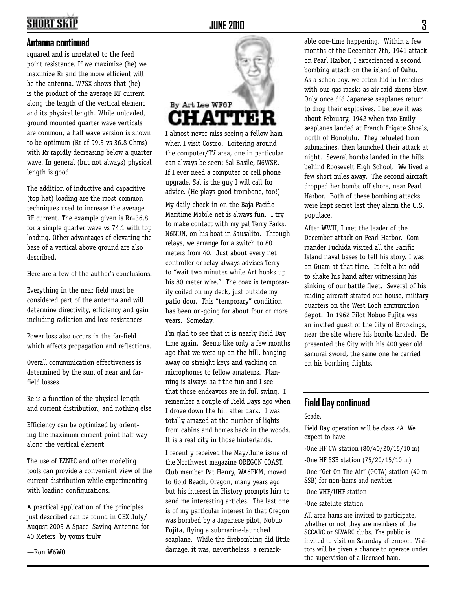### **SHORT SKI**

#### **Antenna continued**

squared and is unrelated to the feed point resistance. If we maximize (he) we maximize Rr and the more efficient will be the antenna. W7SX shows that (he) is the product of the average RF current along the length of the vertical element and its physical length. While unloaded, ground mounted quarter wave verticals are common, a half wave version is shown to be optimum (Rr of 99.5 vs 36.8 Ohms) with Rr rapidly decreasing below a quarter wave. In general (but not always) physical length is good

The addition of inductive and capacitive (top hat) loading are the most common techniques used to increase the average RF current. The example given is Rr=36.8 for a simple quarter wave vs 74.1 with top loading. Other advantages of elevating the base of a vertical above ground are also described.

Here are a few of the author's conclusions.

Everything in the near field must be considered part of the antenna and will determine directivity, efficiency and gain including radiation and loss resistances

Power loss also occurs in the far-field which affects propagation and reflections.

Overall communication effectiveness is determined by the sum of near and farfield losses

Re is a function of the physical length and current distribution, and nothing else

Efficiency can be optimized by orienting the maximum current point half-way along the vertical element

The use of EZNEC and other modeling tools can provide a convenient view of the current distribution while experimenting with loading configurations.

A practical application of the principles just described can be found in QEX July/ August 2005 A Space–Saving Antenna for 40 Meters by yours truly

—Ron W6WO



I almost never miss seeing a fellow ham when I visit Costco. Loitering around the computer/TV area, one in particular can always be seen: Sal Basile, N6WSR. If I ever need a computer or cell phone upgrade, Sal is the guy I will call for advice. (He plays good trombone, too!)

My daily check-in on the Baja Pacific Maritime Mobile net is always fun. I try to make contact with my pal Terry Parks, N6NUN, on his boat in Sausalito. Through relays, we arrange for a switch to 80 meters from 40. Just about every net controller or relay always advises Terry to "wait two minutes while Art hooks up his 80 meter wire." The coax is temporarily coiled on my deck, just outside my patio door. This "temporary" condition has been on-going for about four or more years. Someday.

I'm glad to see that it is nearly Field Day time again. Seems like only a few months ago that we were up on the hill, banging away on straight keys and yacking on microphones to fellow amateurs. Planning is always half the fun and I see that those endeavors are in full swing. I remember a couple of Field Days ago when I drove down the hill after dark. I was totally amazed at the number of lights from cabins and homes back in the woods. It is a real city in those hinterlands.

I recently received the May/June issue of the Northwest magazine OREGON COAST. Club member Pat Henry, WA6PKM, moved to Gold Beach, Oregon, many years ago but his interest in History prompts him to send me interesting articles. The last one is of my particular interest in that Oregon was bombed by a Japanese pilot, Nobuo Fujita, flying a submarine-launched seaplane. While the firebombing did little damage, it was, nevertheless, a remarkable one-time happening. Within a few months of the December 7th, 1941 attack on Pearl Harbor, I experienced a second bombing attack on the island of Oahu. As a schoolboy, we often hid in trenches with our gas masks as air raid sirens blew. Only once did Japanese seaplanes return to drop their explosives. I believe it was about February, 1942 when two Emily seaplanes landed at French Frigate Shoals, north of Honolulu. They refueled from submarines, then launched their attack at night. Several bombs landed in the hills behind Roosevelt High School. We lived a few short miles away. The second aircraft dropped her bombs off shore, near Pearl Harbor. Both of these bombing attacks were kept secret lest they alarm the U.S. populace.

After WWII, I met the leader of the December attack on Pearl Harbor. Commander Fuchida visited all the Pacific Island naval bases to tell his story. I was on Guam at that time. It felt a bit odd to shake his hand after witnessing his sinking of our battle fleet. Several of his raiding aircraft strafed our house, military quarters on the West Loch ammunition depot. In 1962 Pilot Nobuo Fujita was an invited guest of the City of Brookings, near the site where his bombs landed. He presented the City with his 400 year old samurai sword, the same one he carried on his bombing flights.

### **Field Day continued**

Grade.

Field Day operation will be class 2A. We expect to have

-One HF CW station (80/40/20/15/10 m)

-One HF SSB station (75/20/15/10 m)

-One "Get On The Air" (GOTA) station (40 m SSB) for non-hams and newbies

-One VHF/UHF station

-One satellite station

All area hams are invited to participate, whether or not they are members of the SCCARC or SLVARC clubs. The public is invited to visit on Saturday afternoon. Visitors will be given a chance to operate under the supervision of a licensed ham.